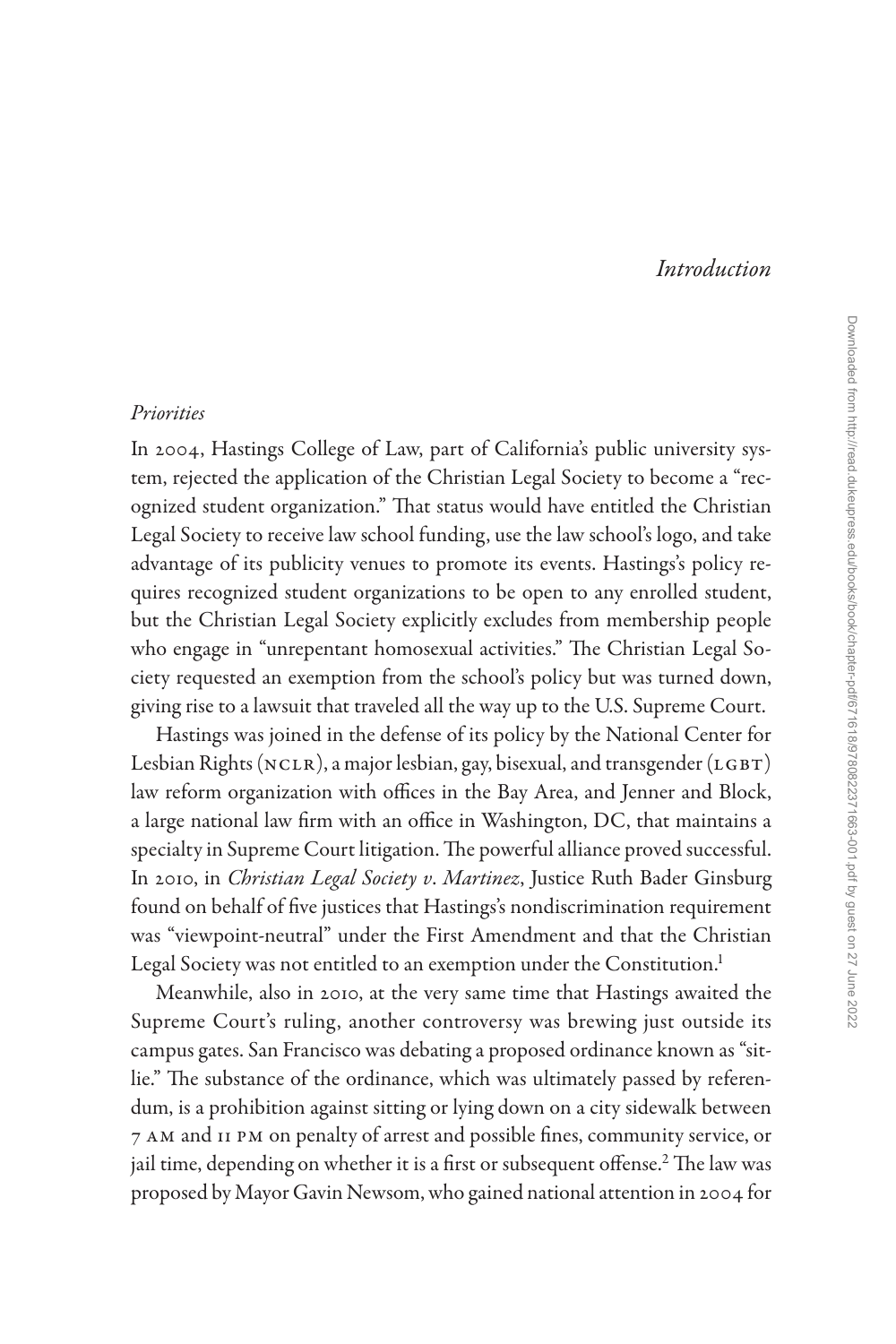# *[Introduction](#page--1-0)*

#### *Priorities*

In 2004, Hastings College of Law, part of California's public university system, rejected the application of the Christian Legal Society to become a "recognized student organization." That status would have entitled the Christian Legal Society to receive law school funding, use the law school's logo, and take advantage of its publicity venues to promote its events. Hastings's policy requires recognized student organizations to be open to any enrolled student, but the Christian Legal Society explicitly excludes from membership people who engage in "unrepentant homosexual activities." The Christian Legal Society requested an exemption from the school's policy but was turned down, giving rise to a lawsuit that traveled all the way up to the U.S. Supreme Court.

Hastings was joined in the defense of its policy by the National Center for Lesbian Rights ( $NCLR$ ), a major lesbian, gay, bisexual, and transgender ( $LGBT$ ) law reform organization with offices in the Bay Area, and Jenner and Block, a large national law firm with an office in Washington, DC, that maintains a specialty in Supreme Court litigation. The powerful alliance proved successful. In 2010, in *Christian Legal Society v*. *Martinez*, Justice Ruth Bader Ginsburg found on behalf of five justices that Hastings's nondiscrimination requirement was "viewpoint-neutral" under the First Amendment and that the Christian Legal Society was not entitled to an exemption under the Constitution.<sup>1</sup>

Meanwhile, also in 2010, at the very same time that Hastings awaited the Supreme Court's ruling, another controversy was brewing just outside its campus gates. San Francisco was debating a proposed ordinance known as "sitlie." The substance of the ordinance, which was ultimately passed by referendum, is a prohibition against sitting or lying down on a city sidewalk between 7 am and 11 pm on penalty of arrest and possible fines, community service, or jail time, depending on whether it is a first or subsequent offense.<sup>2</sup> The law was proposed by Mayor Gavin Newsom, who gained national attention in 2004 for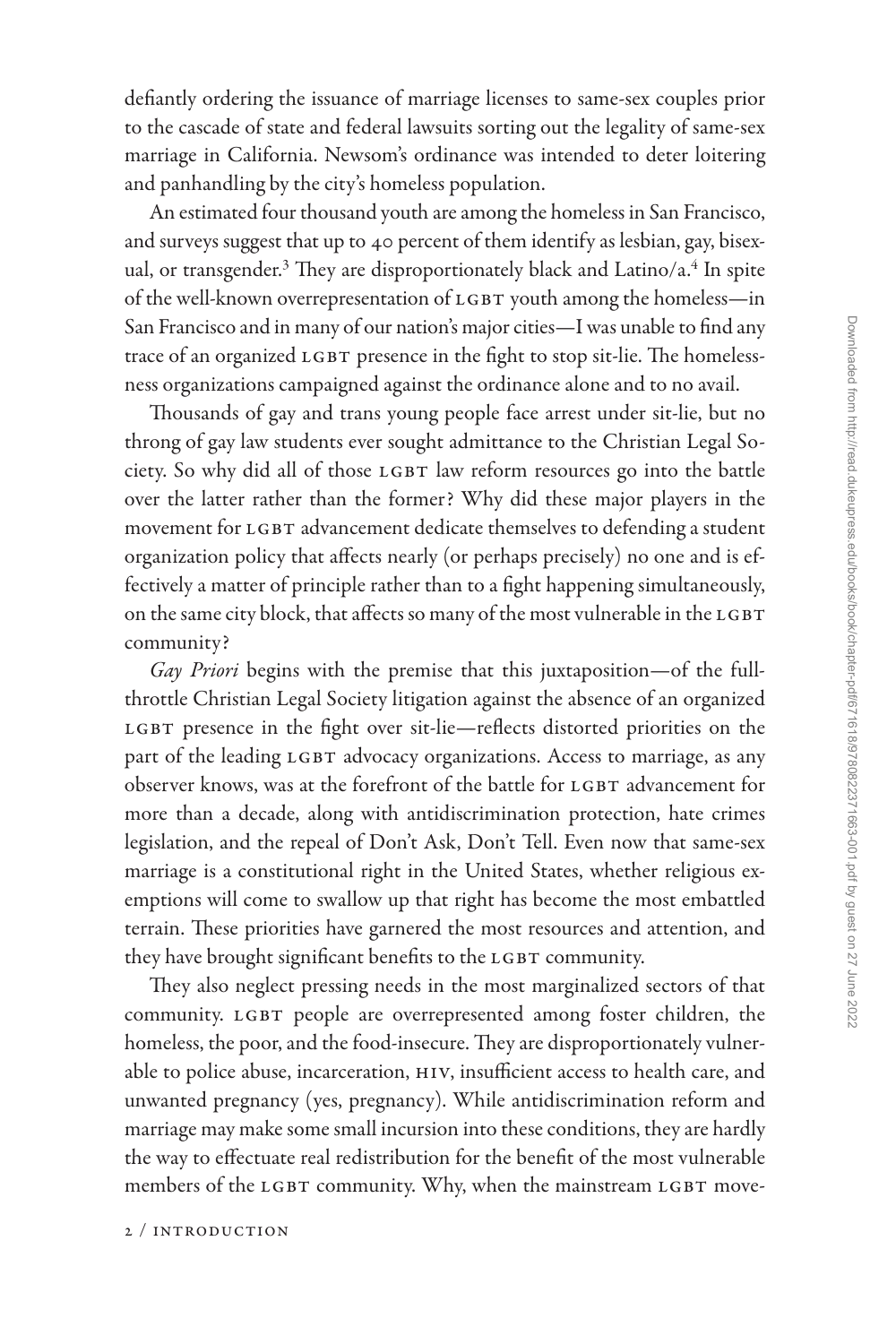defiantly ordering the issuance of marriage licenses to same-sex couples prior to the cascade of state and federal lawsuits sorting out the legality of same-sex marriage in California. Newsom's ordinance was intended to deter loitering and panhandling by the city's homeless population.

An estimated four thousand youth are among the homeless in San Francisco, and surveys suggest that up to 40 percent of them identify as lesbian, gay, bisexual, or transgender.<sup>3</sup> They are disproportionately black and Latino/a.<sup>4</sup> In spite of the well-known overrepresentation of LGBT youth among the homeless—in San Francisco and in many of our nation's major cities—I was unable to find any trace of an organized <code>LGBT</code> presence in the fight to stop sit-lie. The homelessness organizations campaigned against the ordinance alone and to no avail.

Thousands of gay and trans young people face arrest under sit-lie, but no throng of gay law students ever sought admittance to the Christian Legal Society. So why did all of those LGBT law reform resources go into the battle over the latter rather than the former? Why did these major players in the movement for LGBT advancement dedicate themselves to defending a student organization policy that affects nearly (or perhaps precisely) no one and is effectively a matter of principle rather than to a fight happening simultaneously, on the same city block, that affects so many of the most vulnerable in the  $_{\tt LGBT}$ community?

*Gay Priori* begins with the premise that this juxtaposition—of the fullthrottle Christian Legal Society litigation against the absence of an organized LGBT presence in the fight over sit-lie—reflects distorted priorities on the part of the leading LGBT advocacy organizations. Access to marriage, as any observer knows, was at the forefront of the battle for LGBT advancement for more than a decade, along with antidiscrimination protection, hate crimes legislation, and the repeal of Don't Ask, Don't Tell. Even now that same-sex marriage is a constitutional right in the United States, whether religious exemptions will come to swallow up that right has become the most embattled terrain. These priorities have garnered the most resources and attention, and they have brought significant benefits to the LGBT community.

They also neglect pressing needs in the most marginalized sectors of that community. LGBT people are overrepresented among foster children, the homeless, the poor, and the food-insecure. They are disproportionately vulnerable to police abuse, incarceration, hiv, insufficient access to health care, and unwanted pregnancy (yes, pregnancy). While antidiscrimination reform and marriage may make some small incursion into these conditions, they are hardly the way to effectuate real redistribution for the benefit of the most vulnerable members of the LGBT community. Why, when the mainstream LGBT move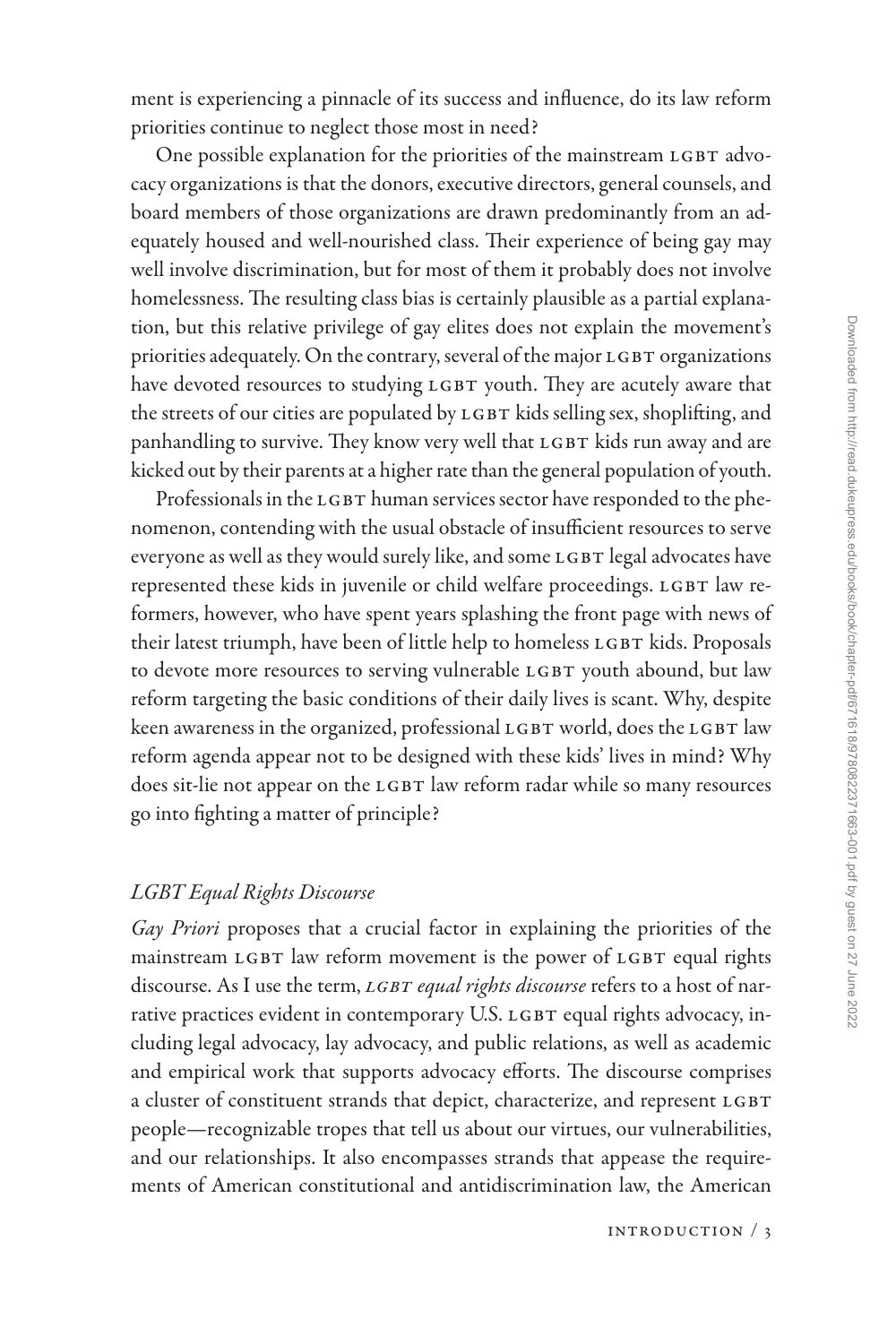ment is experiencing a pinnacle of its success and influence, do its law reform priorities continue to neglect those most in need?

One possible explanation for the priorities of the mainstream LGBT advocacy organizations is that the donors, executive directors, general counsels, and board members of those organizations are drawn predominantly from an adequately housed and well-nourished class. Their experience of being gay may well involve discrimination, but for most of them it probably does not involve homelessness. The resulting class bias is certainly plausible as a partial explanation, but this relative privilege of gay elites does not explain the movement's priorities adequately. On the contrary, several of the major  $_{\tt LGBT}$  organizations have devoted resources to studying LGBT youth. They are acutely aware that the streets of our cities are populated by LGBT kids selling sex, shoplifting, and panhandling to survive. They know very well that  $L$ GBT kids run away and are kicked out by their parents at a higher rate than the general population of youth.

Professionals in the LGBT human services sector have responded to the phenomenon, contending with the usual obstacle of insufficient resources to serve everyone as well as they would surely like, and some LGBT legal advocates have represented these kids in juvenile or child welfare proceedings. LGBT law reformers, however, who have spent years splashing the front page with news of their latest triumph, have been of little help to homeless  $\mathtt{LGBT}$  kids. Proposals to devote more resources to serving vulnerable LGBT youth abound, but law reform targeting the basic conditions of their daily lives is scant. Why, despite keen awareness in the organized, professional  $_{\tt LGBT}$  world, does the  $_{\tt LGBT}$  law reform agenda appear not to be designed with these kids' lives in mind? Why does sit-lie not appear on the LGBT law reform radar while so many resources go into fighting a matter of principle?

# *LGBT Equal Rights Discourse*

*Gay Priori* proposes that a crucial factor in explaining the priorities of the mainstream LGBT law reform movement is the power of LGBT equal rights discourse. As I use the term, *LGBT equal rights discourse* refers to a host of narrative practices evident in contemporary U.S. LGBT equal rights advocacy, including legal advocacy, lay advocacy, and public relations, as well as academic and empirical work that supports advocacy efforts. The discourse comprises a cluster of constituent strands that depict, characterize, and represent  $\tt LGDT$ people—recognizable tropes that tell us about our virtues, our vulnerabilities, and our relationships. It also encompasses strands that appease the requirements of American constitutional and antidiscrimination law, the American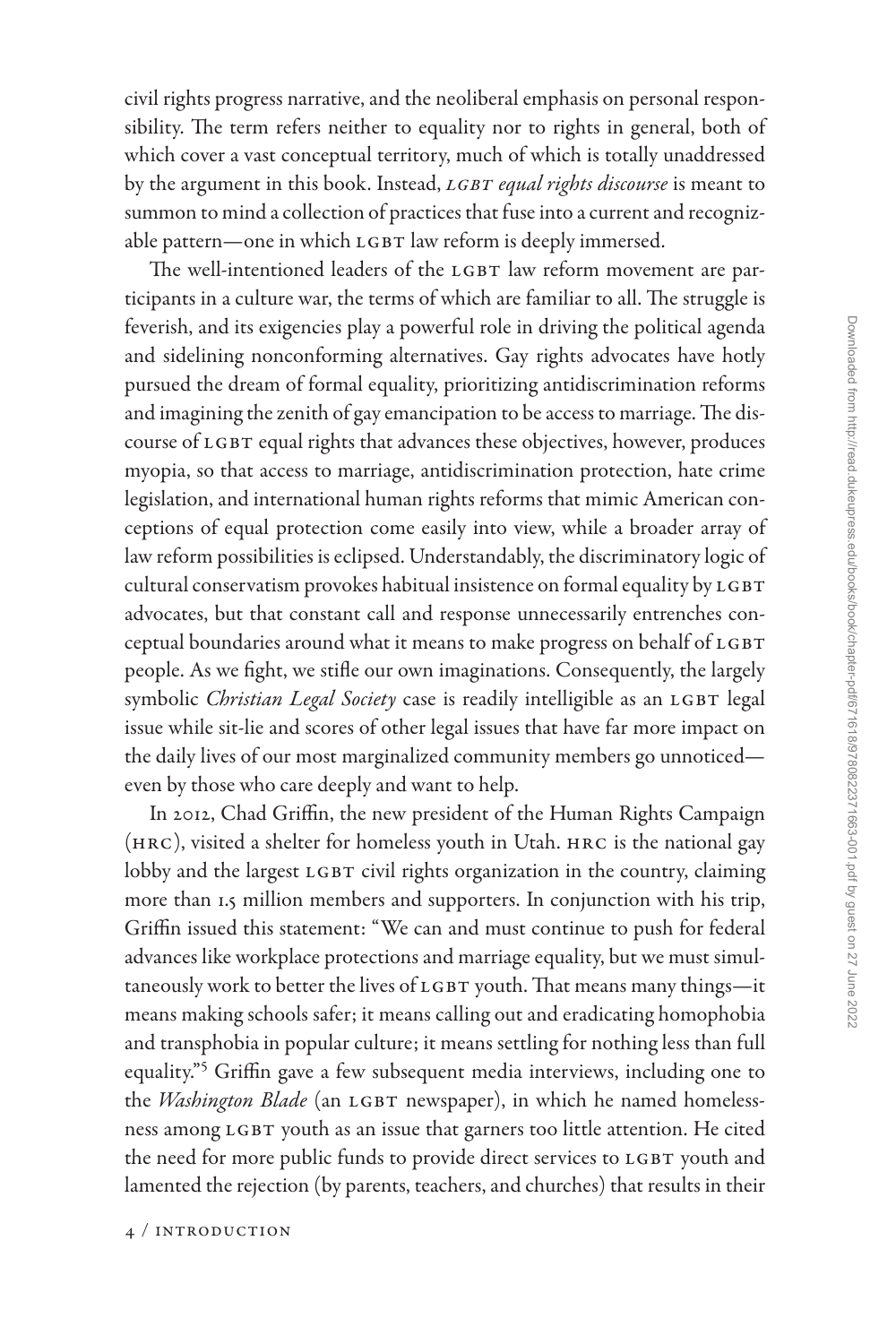civil rights progress narrative, and the neoliberal emphasis on personal responsibility. The term refers neither to equality nor to rights in general, both of which cover a vast conceptual territory, much of which is totally unaddressed by the argument in this book. Instead, *LGBT equal rights discourse* is meant to summon to mind a collection of practices that fuse into a current and recognizable pattern—one in which LGBT law reform is deeply immersed.

The well-intentioned leaders of the LGBT law reform movement are participants in a culture war, the terms of which are familiar to all. The struggle is feverish, and its exigencies play a powerful role in driving the political agenda and sidelining nonconforming alternatives. Gay rights advocates have hotly pursued the dream of formal equality, prioritizing antidiscrimination reforms and imagining the zenith of gay emancipation to be access to marriage. The discourse of LGBT equal rights that advances these objectives, however, produces myopia, so that access to marriage, antidiscrimination protection, hate crime legislation, and international human rights reforms that mimic American conceptions of equal protection come easily into view, while a broader array of law reform possibilities is eclipsed. Understandably, the discriminatory logic of cultural conservatism provokes habitual insistence on formal equality by LGBT advocates, but that constant call and response unnecessarily entrenches conceptual boundaries around what it means to make progress on behalf of LGBT people. As we fight, we stifle our own imaginations. Consequently, the largely symbolic *Christian Legal Society* case is readily intelligible as an LGBT legal issue while sit-lie and scores of other legal issues that have far more impact on the daily lives of our most marginalized community members go unnoticed even by those who care deeply and want to help.

In 2012, Chad Griffin, the new president of the Human Rights Campaign (hrc), visited a shelter for homeless youth in Utah. hrc is the national gay lobby and the largest LGBT civil rights organization in the country, claiming more than 1.5 million members and supporters. In conjunction with his trip, Griffin issued this statement: "We can and must continue to push for federal advances like workplace protections and marriage equality, but we must simultaneously work to better the lives of LGBT youth. That means many things—it means making schools safer; it means calling out and eradicating homophobia and transphobia in popular culture; it means settling for nothing less than full equality."[5](#page--1-0) Griffin gave a few subsequent media interviews, including one to the *Washington Blade* (an LGBT newspaper), in which he named homelessness among LGBT youth as an issue that garners too little attention. He cited the need for more public funds to provide direct services to LGBT youth and lamented the rejection (by parents, teachers, and churches) that results in their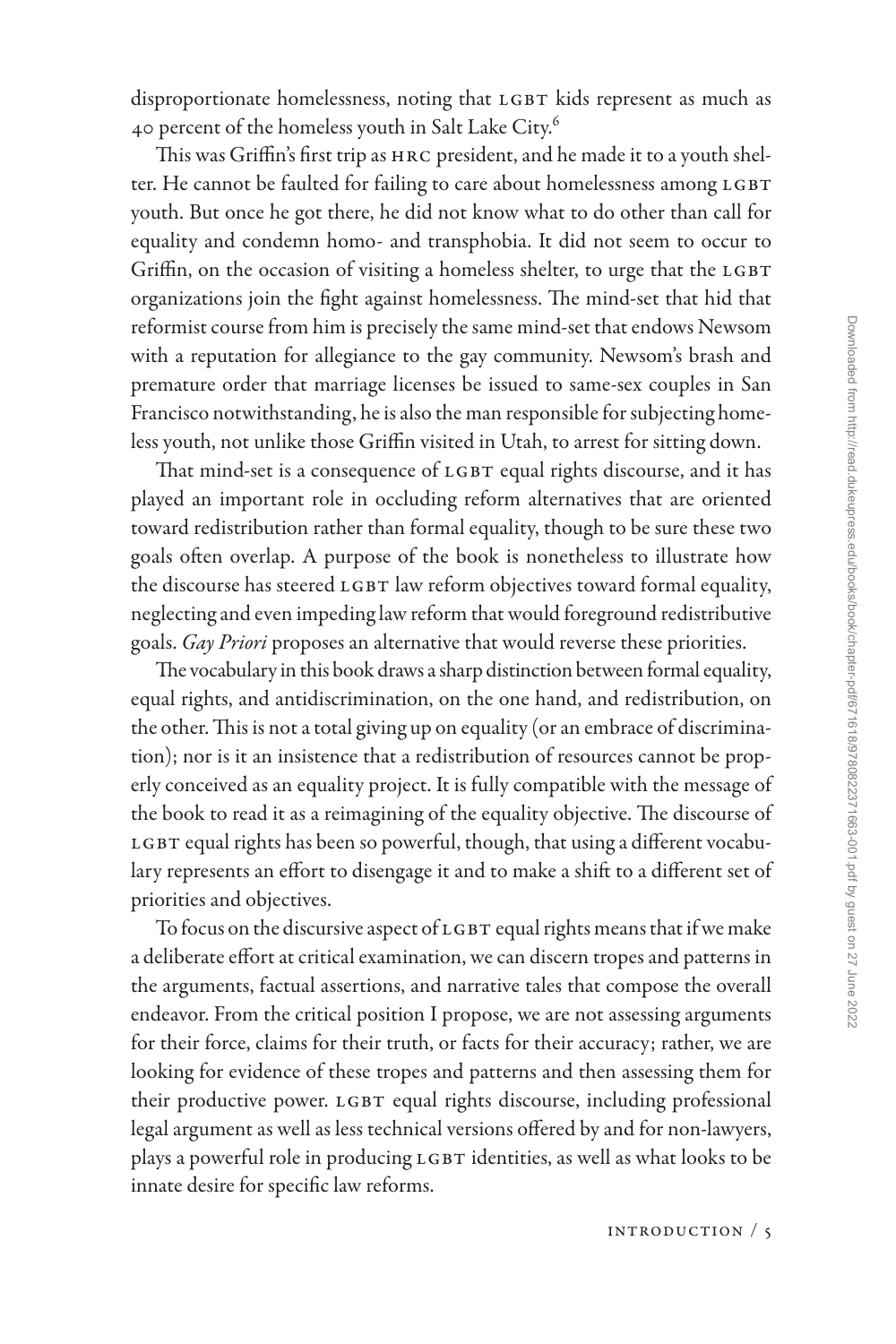disproportionate homelessness, noting that LGBT kids represent as much as 40 percent of the homeless youth in Salt Lake City[.6](#page--1-0)

This was Griffin's first trip as HRC president, and he made it to a youth shelter. He cannot be faulted for failing to care about homelessness among  $\mathtt{LGBT}$ youth. But once he got there, he did not know what to do other than call for equality and condemn homo- and transphobia. It did not seem to occur to Griffin, on the occasion of visiting a homeless shelter, to urge that the LGBT organizations join the fight against homelessness. The mind-set that hid that reformist course from him is precisely the same mind-set that endows Newsom with a reputation for allegiance to the gay community. Newsom's brash and premature order that marriage licenses be issued to same-sex couples in San Francisco notwithstanding, he is also the man responsible for subjecting homeless youth, not unlike those Griffin visited in Utah, to arrest for sitting down.

That mind-set is a consequence of LGBT equal rights discourse, and it has played an important role in occluding reform alternatives that are oriented toward redistribution rather than formal equality, though to be sure these two goals often overlap. A purpose of the book is nonetheless to illustrate how the discourse has steered LGBT law reform objectives toward formal equality, neglecting and even impeding law reform that would foreground redistributive goals. *Gay Priori* proposes an alternative that would reverse these priorities.

The vocabulary in this book draws a sharp distinction between formal equality, equal rights, and antidiscrimination, on the one hand, and redistribution, on the other. This is not a total giving up on equality (or an embrace of discrimination); nor is it an insistence that a redistribution of resources cannot be properly conceived as an equality project. It is fully compatible with the message of the book to read it as a reimagining of the equality objective. The discourse of  $_{\tt LGBT}$  equal rights has been so powerful, though, that using a different vocabulary represents an effort to disengage it and to make a shift to a different set of priorities and objectives.

To focus on the discursive aspect of LGBT equal rights means that if we make a deliberate effort at critical examination, we can discern tropes and patterns in the arguments, factual assertions, and narrative tales that compose the overall endeavor. From the critical position I propose, we are not assessing arguments for their force, claims for their truth, or facts for their accuracy; rather, we are looking for evidence of these tropes and patterns and then assessing them for their productive power. LGBT equal rights discourse, including professional legal argument as well as less technical versions offered by and for non-lawyers, plays a powerful role in producing LGBT identities, as well as what looks to be innate desire for specific law reforms.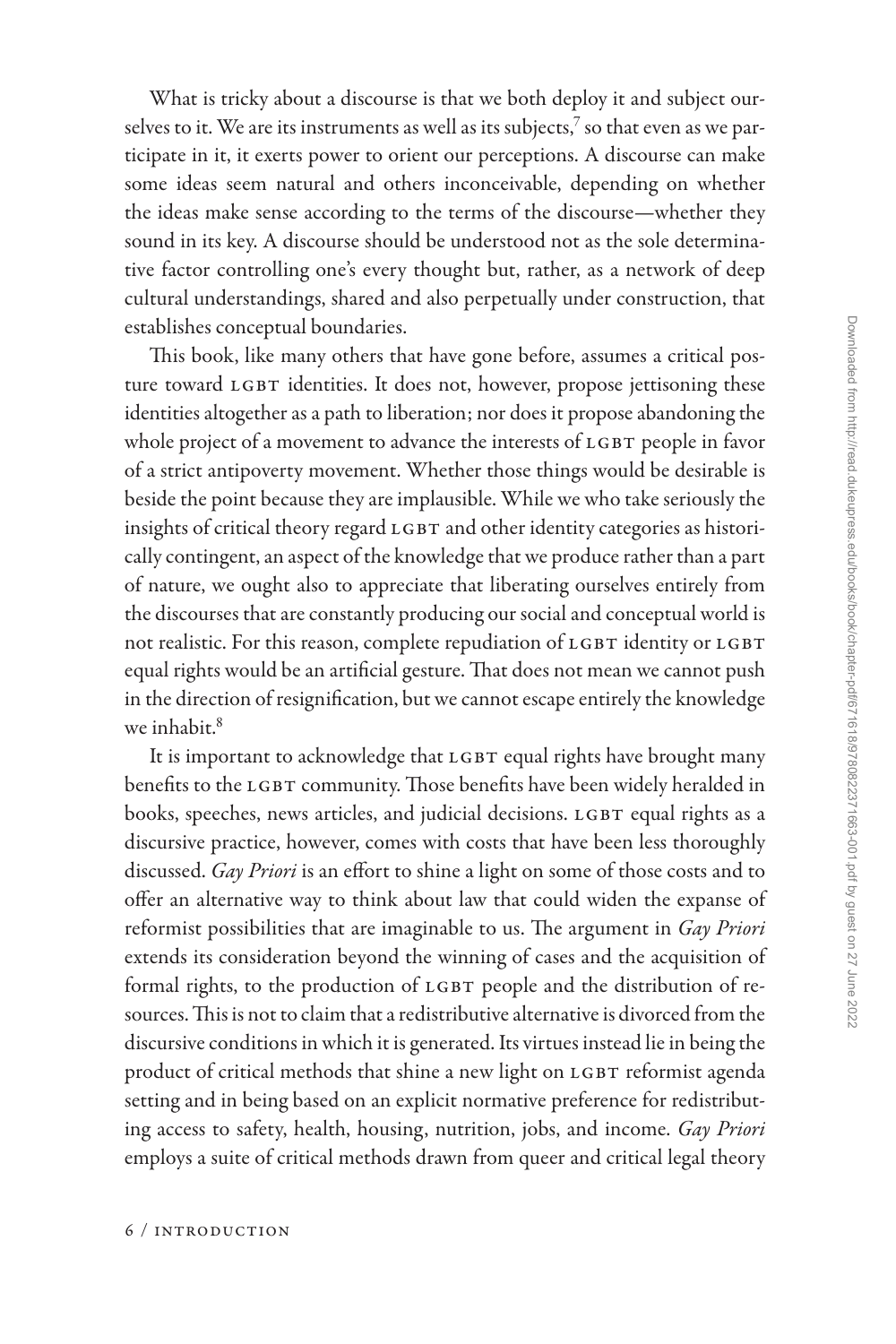What is tricky about a discourse is that we both deploy it and subject ourselves to it. We are its instruments as well as its subjects, $^7$  so that even as we participate in it, it exerts power to orient our perceptions. A discourse can make some ideas seem natural and others inconceivable, depending on whether the ideas make sense according to the terms of the discourse—whether they sound in its key. A discourse should be understood not as the sole determinative factor controlling one's every thought but, rather, as a network of deep cultural understandings, shared and also perpetually under construction, that establishes conceptual boundaries.

This book, like many others that have gone before, assumes a critical posture toward LGBT identities. It does not, however, propose jettisoning these identities altogether as a path to liberation; nor does it propose abandoning the whole project of a movement to advance the interests of LGBT people in favor of a strict antipoverty movement. Whether those things would be desirable is beside the point because they are implausible. While we who take seriously the insights of critical theory regard LGBT and other identity categories as historically contingent, an aspect of the knowledge that we produce rather than a part of nature, we ought also to appreciate that liberating ourselves entirely from the discourses that are constantly producing our social and conceptual world is not realistic. For this reason, complete repudiation of LGBT identity or LGBT equal rights would be an artificial gesture. That does not mean we cannot push in the direction of resignification, but we cannot escape entirely the knowledge we inhabit.<sup>8</sup>

It is important to acknowledge that LGBT equal rights have brought many benefits to the LGBT community. Those benefits have been widely heralded in books, speeches, news articles, and judicial decisions. LGBT equal rights as a discursive practice, however, comes with costs that have been less thoroughly discussed. *Gay Priori* is an effort to shine a light on some of those costs and to offer an alternative way to think about law that could widen the expanse of reformist possibilities that are imaginable to us. The argument in *Gay Priori* extends its consideration beyond the winning of cases and the acquisition of formal rights, to the production of LGBT people and the distribution of resources. This is not to claim that a redistributive alternative is divorced from the discursive conditions in which it is generated. Its virtues instead lie in being the product of critical methods that shine a new light on LGBT reformist agenda setting and in being based on an explicit normative preference for redistributing access to safety, health, housing, nutrition, jobs, and income. *Gay Priori* employs a suite of critical methods drawn from queer and critical legal theory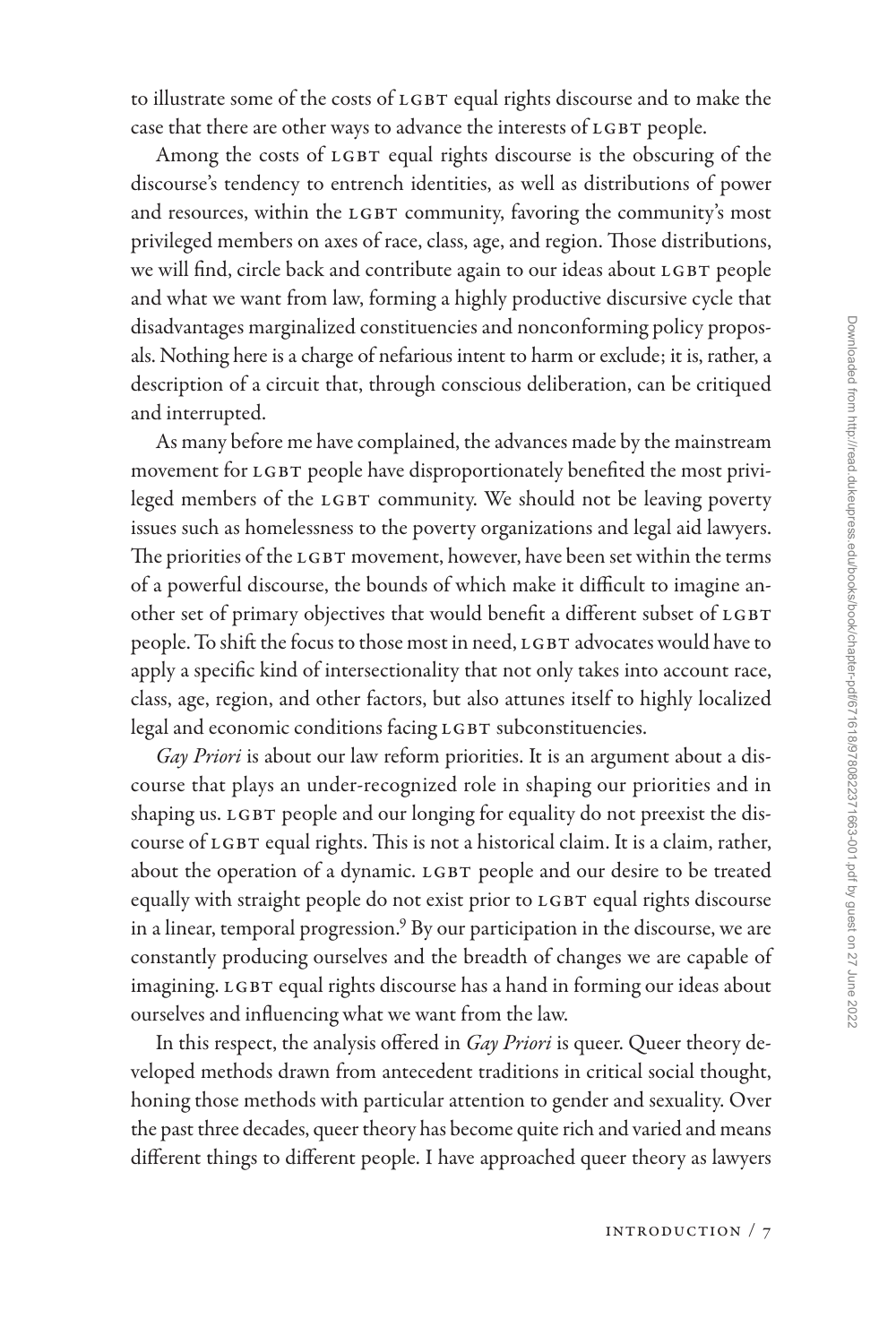to illustrate some of the costs of LGBT equal rights discourse and to make the case that there are other ways to advance the interests of LGBT people.

Among the costs of LGBT equal rights discourse is the obscuring of the discourse's tendency to entrench identities, as well as distributions of power and resources, within the LGBT community, favoring the community's most privileged members on axes of race, class, age, and region. Those distributions, we will find, circle back and contribute again to our ideas about LGBT people and what we want from law, forming a highly productive discursive cycle that disadvantages marginalized constituencies and nonconforming policy proposals. Nothing here is a charge of nefarious intent to harm or exclude; it is, rather, a description of a circuit that, through conscious deliberation, can be critiqued and interrupted.

As many before me have complained, the advances made by the mainstream movement for LGBT people have disproportionately benefited the most privileged members of the LGBT community. We should not be leaving poverty issues such as homelessness to the poverty organizations and legal aid lawyers. The priorities of the LGBT movement, however, have been set within the terms of a powerful discourse, the bounds of which make it difficult to imagine another set of primary objectives that would benefit a different subset of LGBT people. To shift the focus to those most in need, LGBT advocates would have to apply a specific kind of intersectionality that not only takes into account race, class, age, region, and other factors, but also attunes itself to highly localized legal and economic conditions facing LGBT subconstituencies.

*Gay Priori* is about our law reform priorities. It is an argument about a discourse that plays an under-recognized role in shaping our priorities and in shaping us. LGBT people and our longing for equality do not preexist the discourse of  $L$ GBT equal rights. This is not a historical claim. It is a claim, rather, about the operation of a dynamic. LGBT people and our desire to be treated equally with straight people do not exist prior to LGBT equal rights discourse in a linear, temporal progression.<sup>[9](#page--1-0)</sup> By our participation in the discourse, we are constantly producing ourselves and the breadth of changes we are capable of imagining. LGBT equal rights discourse has a hand in forming our ideas about ourselves and influencing what we want from the law.

In this respect, the analysis offered in *Gay Priori* is queer. Queer theory developed methods drawn from antecedent traditions in critical social thought, honing those methods with particular attention to gender and sexuality. Over the past three decades, queer theory has become quite rich and varied and means different things to different people. I have approached queer theory as lawyers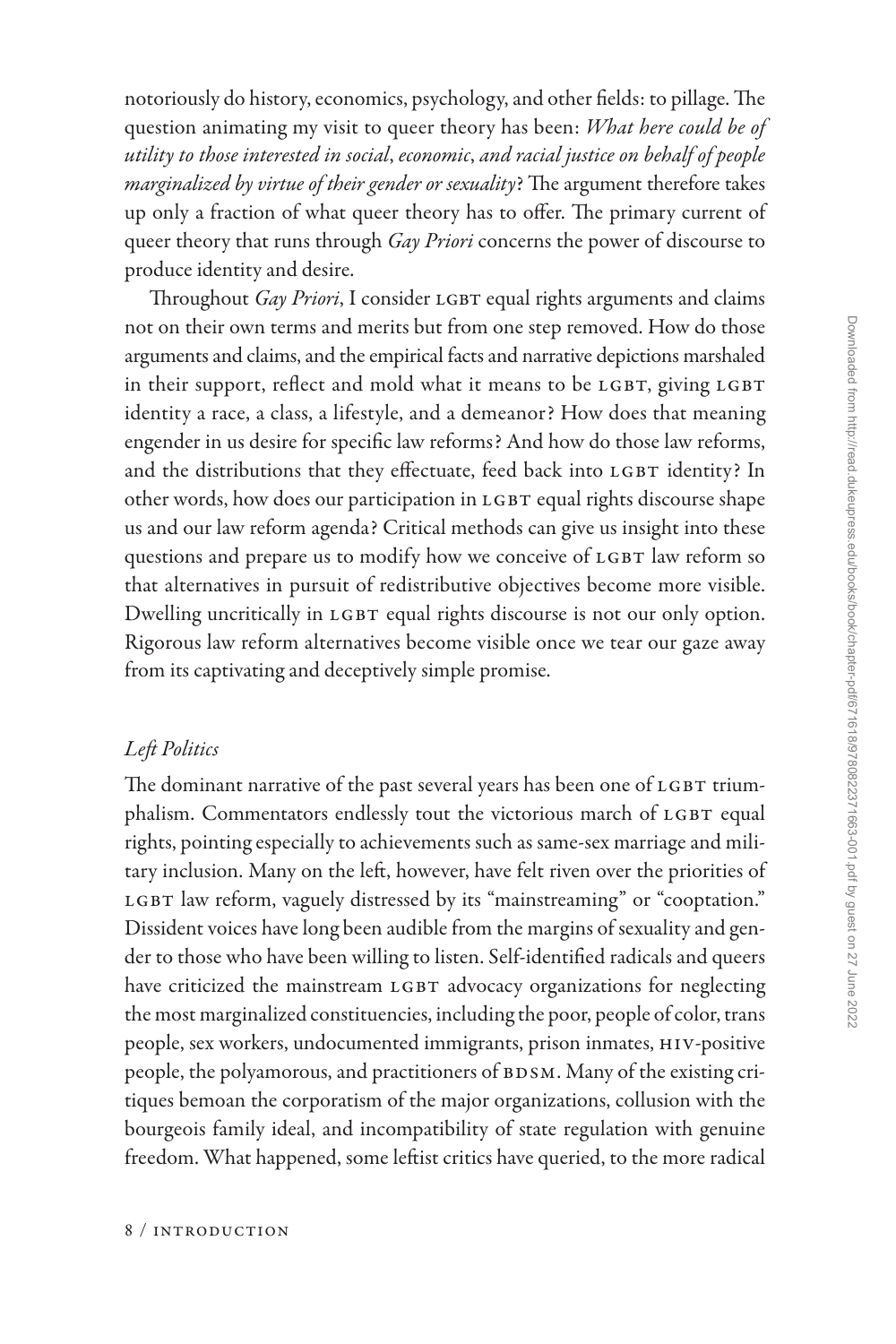notoriously do history, economics, psychology, and other fields: to pillage. The question animating my visit to queer theory has been: *What here could be of utility to those interested in social*, *economic*, *and racial justice on behalf of people marginalized by virtue of their gender or sexuality*? The argument therefore takes up only a fraction of what queer theory has to offer. The primary current of queer theory that runs through *Gay Priori* concerns the power of discourse to produce identity and desire.

Throughout *Gay Priori*, I consider LGBT equal rights arguments and claims not on their own terms and merits but from one step removed. How do those arguments and claims, and the empirical facts and narrative depictions marshaled in their support, reflect and mold what it means to be LGBT, giving LGBT identity a race, a class, a lifestyle, and a demeanor? How does that meaning engender in us desire for specific law reforms? And how do those law reforms, and the distributions that they effectuate, feed back into LGBT identity? In other words, how does our participation in LGBT equal rights discourse shape us and our law reform agenda? Critical methods can give us insight into these questions and prepare us to modify how we conceive of LGBT law reform so that alternatives in pursuit of redistributive objectives become more visible. Dwelling uncritically in LGBT equal rights discourse is not our only option. Rigorous law reform alternatives become visible once we tear our gaze away from its captivating and deceptively simple promise.

# *Left Politics*

The dominant narrative of the past several years has been one of  $_{\text{LGBT}}$  triumphalism. Commentators endlessly tout the victorious march of LGBT equal rights, pointing especially to achievements such as same-sex marriage and military inclusion. Many on the left, however, have felt riven over the priorities of LGBT law reform, vaguely distressed by its "mainstreaming" or "cooptation." Dissident voices have long been audible from the margins of sexuality and gender to those who have been willing to listen. Self-identified radicals and queers have criticized the mainstream LGBT advocacy organizations for neglecting the most marginalized constituencies, including the poor, people of color, trans people, sex workers, undocumented immigrants, prison inmates, hiv-positive people, the polyamorous, and practitioners of BDSM. Many of the existing critiques bemoan the corporatism of the major organizations, collusion with the bourgeois family ideal, and incompatibility of state regulation with genuine freedom. What happened, some leftist critics have queried, to the more radical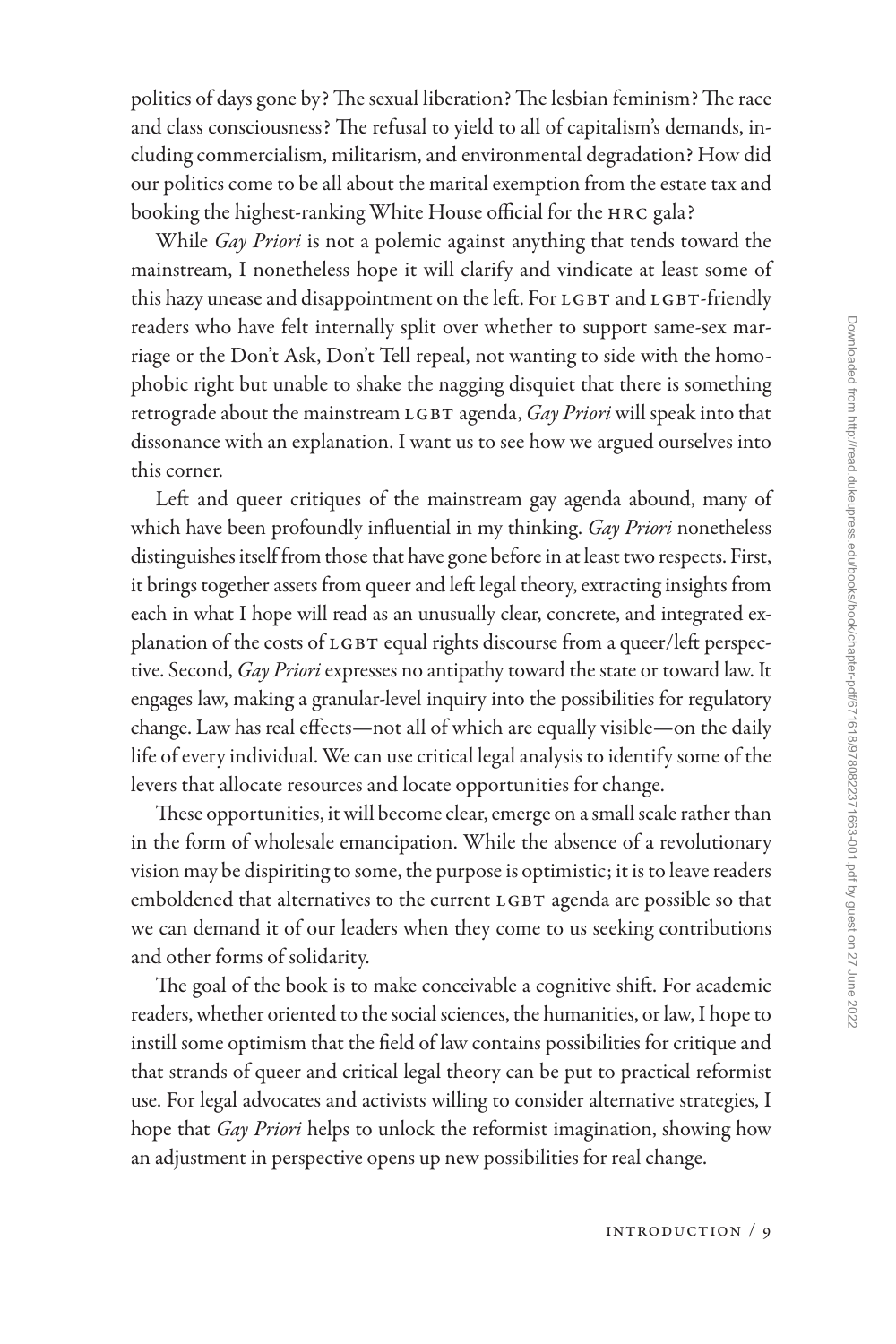politics of days gone by? The sexual liberation? The lesbian feminism? The race and class consciousness? The refusal to yield to all of capitalism's demands, including commercialism, militarism, and environmental degradation? How did our politics come to be all about the marital exemption from the estate tax and booking the highest-ranking White House official for the HRC gala?

While *Gay Priori* is not a polemic against anything that tends toward the mainstream, I nonetheless hope it will clarify and vindicate at least some of this hazy unease and disappointment on the left. For  $\mathtt{LGBT}$  and  $\mathtt{LGBT}$ -friendly readers who have felt internally split over whether to support same-sex marriage or the Don't Ask, Don't Tell repeal, not wanting to side with the homophobic right but unable to shake the nagging disquiet that there is something retrograde about the mainstream LGBT agenda, *Gay Priori* will speak into that dissonance with an explanation. I want us to see how we argued ourselves into this corner.

Left and queer critiques of the mainstream gay agenda abound, many of which have been profoundly influential in my thinking. *Gay Priori* nonetheless distinguishes itself from those that have gone before in at least two respects. First, it brings together assets from queer and left legal theory, extracting insights from each in what I hope will read as an unusually clear, concrete, and integrated explanation of the costs of LGBT equal rights discourse from a queer/left perspective. Second, *Gay Priori* expresses no antipathy toward the state or toward law. It engages law, making a granular-level inquiry into the possibilities for regulatory change. Law has real effects—not all of which are equally visible—on the daily life of every individual. We can use critical legal analysis to identify some of the levers that allocate resources and locate opportunities for change.

These opportunities, it will become clear, emerge on a small scale rather than in the form of wholesale emancipation. While the absence of a revolutionary vision may be dispiriting to some, the purpose is optimistic; it is to leave readers emboldened that alternatives to the current LGBT agenda are possible so that we can demand it of our leaders when they come to us seeking contributions and other forms of solidarity.

The goal of the book is to make conceivable a cognitive shift. For academic readers, whether oriented to the social sciences, the humanities, or law, I hope to instill some optimism that the field of law contains possibilities for critique and that strands of queer and critical legal theory can be put to practical reformist use. For legal advocates and activists willing to consider alternative strategies, I hope that *Gay Priori* helps to unlock the reformist imagination, showing how an adjustment in perspective opens up new possibilities for real change.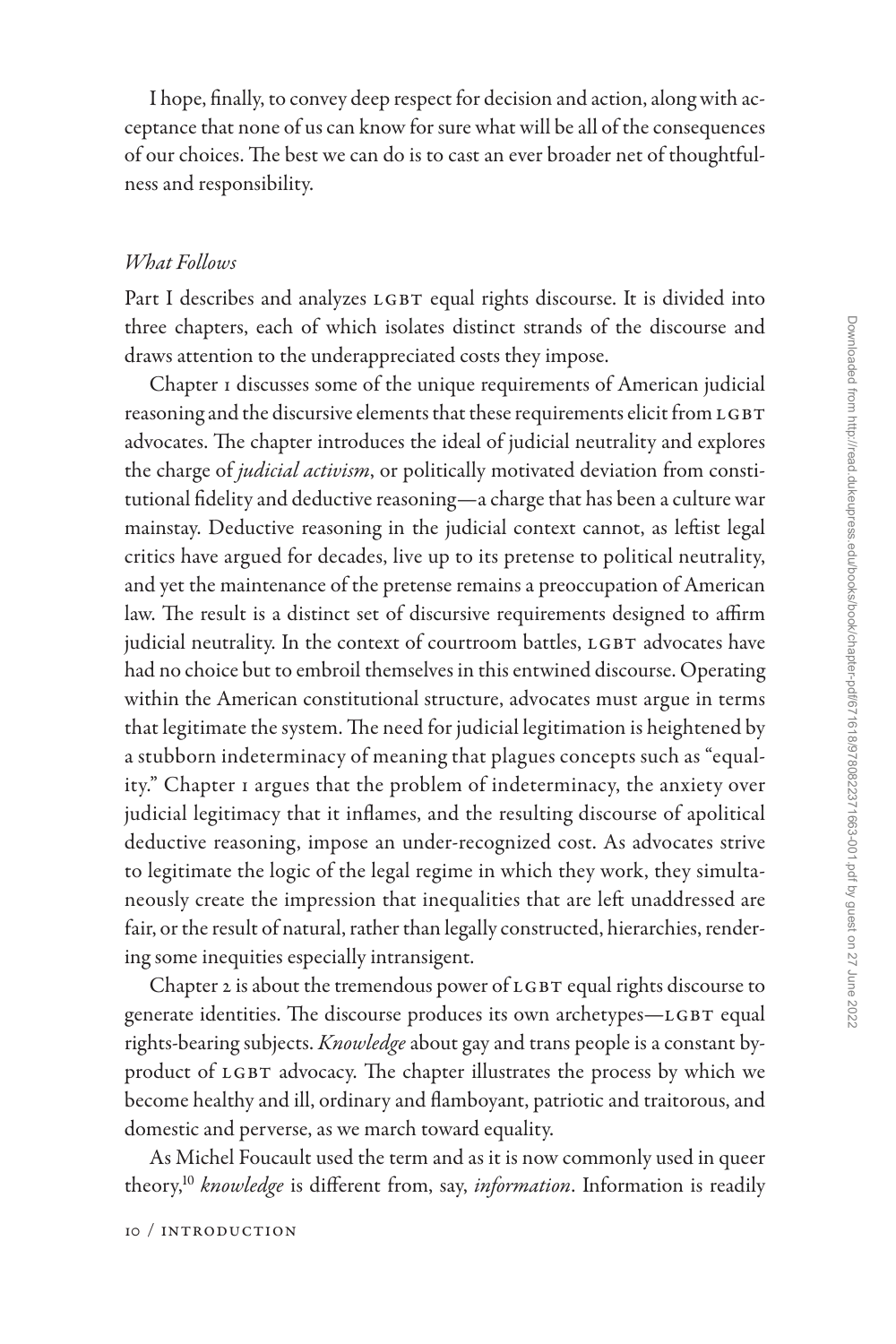I hope, finally, to convey deep respect for decision and action, along with acceptance that none of us can know for sure what will be all of the consequences of our choices. The best we can do is to cast an ever broader net of thoughtfulness and responsibility.

#### *What Follows*

Part I describes and analyzes LGBT equal rights discourse. It is divided into three chapters, each of which isolates distinct strands of the discourse and draws attention to the underappreciated costs they impose.

Chapter 1 discusses some of the unique requirements of American judicial reasoning and the discursive elements that these requirements elicit from LGBT advocates. The chapter introduces the ideal of judicial neutrality and explores the charge of *judicial activism*, or politically motivated deviation from constitutional fidelity and deductive reasoning—a charge that has been a culture war mainstay. Deductive reasoning in the judicial context cannot, as leftist legal critics have argued for decades, live up to its pretense to political neutrality, and yet the maintenance of the pretense remains a preoccupation of American law. The result is a distinct set of discursive requirements designed to affirm judicial neutrality. In the context of courtroom battles, LGBT advocates have had no choice but to embroil themselves in this entwined discourse. Operating within the American constitutional structure, advocates must argue in terms that legitimate the system. The need for judicial legitimation is heightened by a stubborn indeterminacy of meaning that plagues concepts such as "equality." Chapter 1 argues that the problem of indeterminacy, the anxiety over judicial legitimacy that it inflames, and the resulting discourse of apolitical deductive reasoning, impose an under-recognized cost. As advocates strive to legitimate the logic of the legal regime in which they work, they simultaneously create the impression that inequalities that are left unaddressed are fair, or the result of natural, rather than legally constructed, hierarchies, rendering some inequities especially intransigent.

Chapter 2 is about the tremendous power of  $L$ GBT equal rights discourse to generate identities. The discourse produces its own archetypes—LGBT equal rights-bearing subjects. *Knowledge* about gay and trans people is a constant byproduct of LGBT advocacy. The chapter illustrates the process by which we become healthy and ill, ordinary and flamboyant, patriotic and traitorous, and domestic and perverse, as we march toward equality.

As Michel Foucault used the term and as it is now commonly used in queer theory[,10](#page--1-0) *knowledge* is different from, say, *information*. Information is readily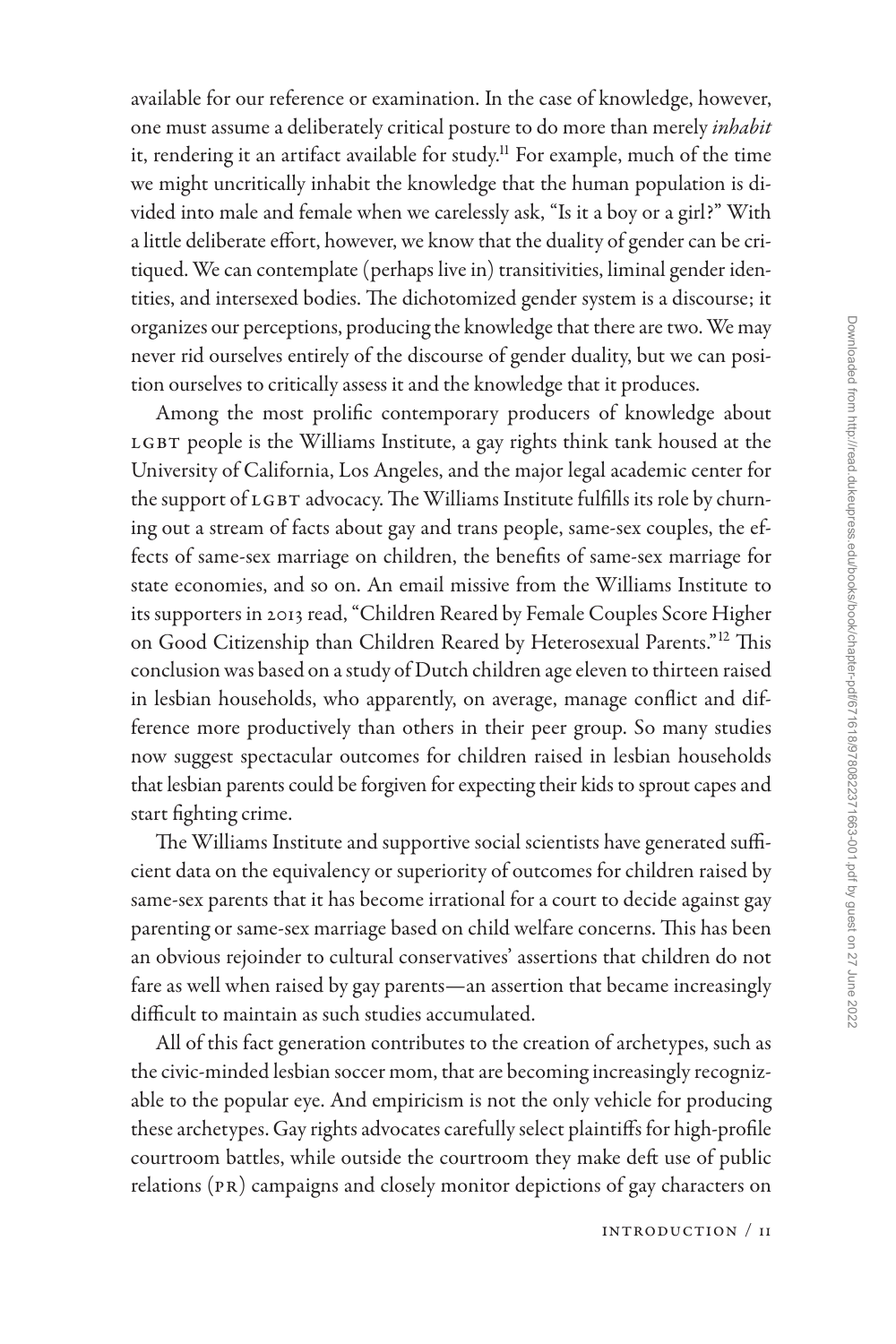available for our reference or examination. In the case of knowledge, however, one must assume a deliberately critical posture to do more than merely *inhabit* it, rendering it an artifact available for study.<sup>11</sup> For example, much of the time we might uncritically inhabit the knowledge that the human population is divided into male and female when we carelessly ask, "Is it a boy or a girl?" With a little deliberate effort, however, we know that the duality of gender can be critiqued. We can contemplate (perhaps live in) transitivities, liminal gender identities, and intersexed bodies. The dichotomized gender system is a discourse; it organizes our perceptions, producing the knowledge that there are two. We may never rid ourselves entirely of the discourse of gender duality, but we can position ourselves to critically assess it and the knowledge that it produces.

Among the most prolific contemporary producers of knowledge about  $L$ GBT people is the Williams Institute, a gay rights think tank housed at the University of California, Los Angeles, and the major legal academic center for the support of  $\mathtt{LGBT}$  advocacy. The Williams Institute fulfills its role by churning out a stream of facts about gay and trans people, same-sex couples, the effects of same-sex marriage on children, the benefits of same-sex marriage for state economies, and so on. An email missive from the Williams Institute to its supporters in 2013 read, "Children Reared by Female Couples Score Higher on Good Citizenship than Children Reared by Heterosexual Parents."[12](#page--1-0) This conclusion was based on a study of Dutch children age eleven to thirteen raised in lesbian households, who apparently, on average, manage conflict and difference more productively than others in their peer group. So many studies now suggest spectacular outcomes for children raised in lesbian households that lesbian parents could be forgiven for expecting their kids to sprout capes and start fighting crime.

The Williams Institute and supportive social scientists have generated sufficient data on the equivalency or superiority of outcomes for children raised by same-sex parents that it has become irrational for a court to decide against gay parenting or same-sex marriage based on child welfare concerns. This has been an obvious rejoinder to cultural conservatives' assertions that children do not fare as well when raised by gay parents—an assertion that became increasingly difficult to maintain as such studies accumulated.

All of this fact generation contributes to the creation of archetypes, such as the civic-minded lesbian soccer mom, that are becoming increasingly recognizable to the popular eye. And empiricism is not the only vehicle for producing these archetypes. Gay rights advocates carefully select plaintiffs for high-profile courtroom battles, while outside the courtroom they make deft use of public relations (pr) campaigns and closely monitor depictions of gay characters on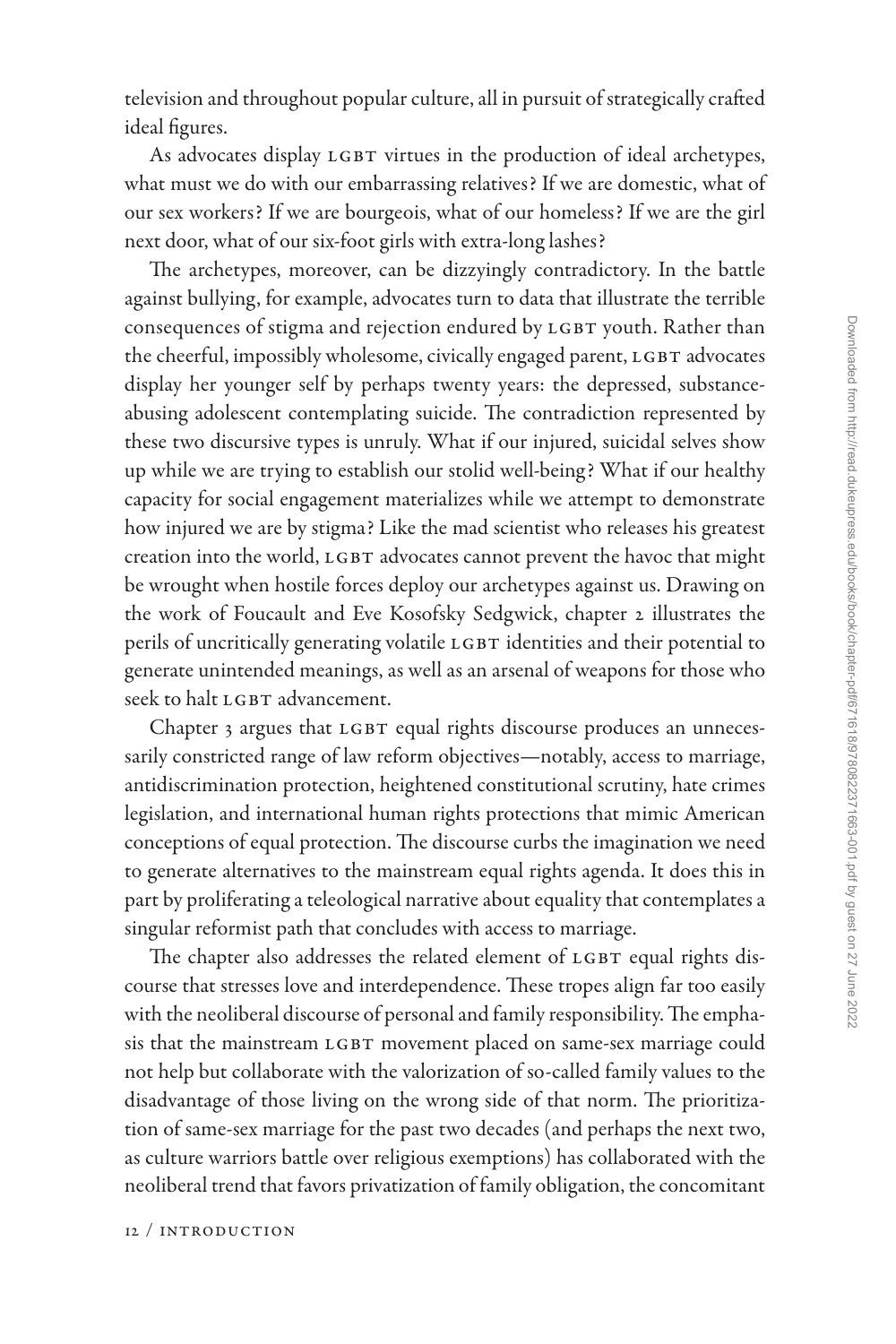television and throughout popular culture, all in pursuit of strategically crafted ideal figures.

As advocates display LGBT virtues in the production of ideal archetypes, what must we do with our embarrassing relatives? If we are domestic, what of our sex workers? If we are bourgeois, what of our homeless? If we are the girl next door, what of our six-foot girls with extra-long lashes?

The archetypes, moreover, can be dizzyingly contradictory. In the battle against bullying, for example, advocates turn to data that illustrate the terrible consequences of stigma and rejection endured by LGBT youth. Rather than the cheerful, impossibly wholesome, civically engaged parent, LGBT advocates display her younger self by perhaps twenty years: the depressed, substanceabusing adolescent contemplating suicide. The contradiction represented by these two discursive types is unruly. What if our injured, suicidal selves show up while we are trying to establish our stolid well-being? What if our healthy capacity for social engagement materializes while we attempt to demonstrate how injured we are by stigma? Like the mad scientist who releases his greatest creation into the world, LGBT advocates cannot prevent the havoc that might be wrought when hostile forces deploy our archetypes against us. Drawing on the work of Foucault and Eve Kosofsky Sedgwick, chapter 2 illustrates the perils of uncritically generating volatile LGBT identities and their potential to generate unintended meanings, as well as an arsenal of weapons for those who seek to halt LGBT advancement.

Chapter 3 argues that LGBT equal rights discourse produces an unnecessarily constricted range of law reform objectives—notably, access to marriage, antidiscrimination protection, heightened constitutional scrutiny, hate crimes legislation, and international human rights protections that mimic American conceptions of equal protection. The discourse curbs the imagination we need to generate alternatives to the mainstream equal rights agenda. It does this in part by proliferating a teleological narrative about equality that contemplates a singular reformist path that concludes with access to marriage.

The chapter also addresses the related element of LGBT equal rights discourse that stresses love and interdependence. These tropes align far too easily with the neoliberal discourse of personal and family responsibility. The emphasis that the mainstream LGBT movement placed on same-sex marriage could not help but collaborate with the valorization of so-called family values to the disadvantage of those living on the wrong side of that norm. The prioritization of same-sex marriage for the past two decades (and perhaps the next two, as culture warriors battle over religious exemptions) has collaborated with the neoliberal trend that favors privatization of family obligation, the concomitant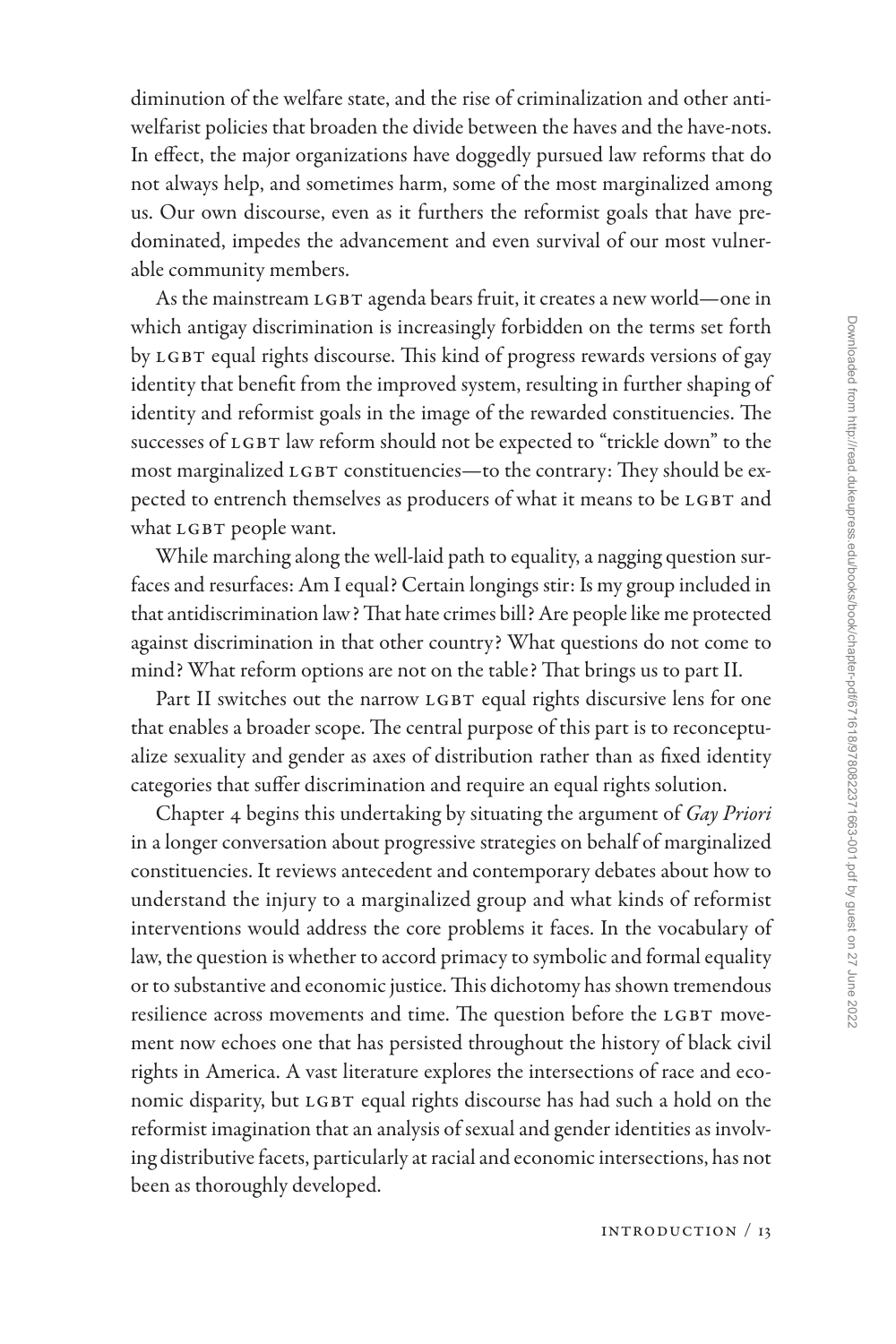diminution of the welfare state, and the rise of criminalization and other antiwelfarist policies that broaden the divide between the haves and the have-nots. In effect, the major organizations have doggedly pursued law reforms that do not always help, and sometimes harm, some of the most marginalized among us. Our own discourse, even as it furthers the reformist goals that have predominated, impedes the advancement and even survival of our most vulnerable community members.

As the mainstream LGBT agenda bears fruit, it creates a new world—one in which antigay discrimination is increasingly forbidden on the terms set forth by LGBT equal rights discourse. This kind of progress rewards versions of gay identity that benefit from the improved system, resulting in further shaping of identity and reformist goals in the image of the rewarded constituencies. The successes of LGBT law reform should not be expected to "trickle down" to the most marginalized LGBT constituencies—to the contrary: They should be expected to entrench themselves as producers of what it means to be LGBT and what LGBT people want.

While marching along the well-laid path to equality, a nagging question surfaces and resurfaces: Am I equal? Certain longings stir: Is my group included in that antidiscrimination law? That hate crimes bill? Are people like me protected against discrimination in that other country? What questions do not come to mind? What reform options are not on the table? That brings us to part II.

Part II switches out the narrow LGBT equal rights discursive lens for one that enables a broader scope. The central purpose of this part is to reconceptualize sexuality and gender as axes of distribution rather than as fixed identity categories that suffer discrimination and require an equal rights solution.

Chapter 4 begins this undertaking by situating the argument of *Gay Priori* in a longer conversation about progressive strategies on behalf of marginalized constituencies. It reviews antecedent and contemporary debates about how to understand the injury to a marginalized group and what kinds of reformist interventions would address the core problems it faces. In the vocabulary of law, the question is whether to accord primacy to symbolic and formal equality or to substantive and economic justice. This dichotomy has shown tremendous resilience across movements and time. The question before the LGBT movement now echoes one that has persisted throughout the history of black civil rights in America. A vast literature explores the intersections of race and economic disparity, but LGBT equal rights discourse has had such a hold on the reformist imagination that an analysis of sexual and gender identities as involving distributive facets, particularly at racial and economic intersections, has not been as thoroughly developed.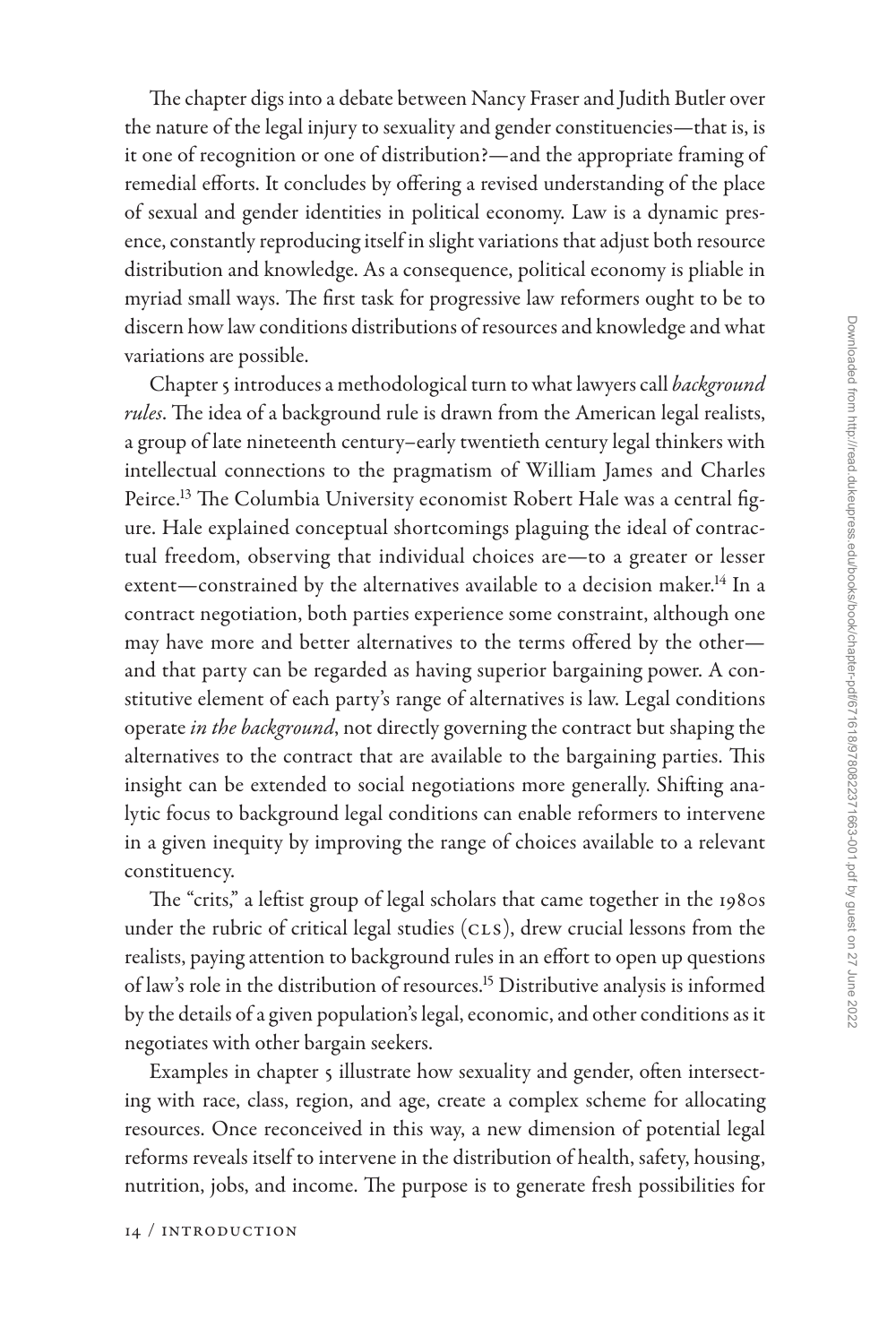The chapter digs into a debate between Nancy Fraser and Judith Butler over the nature of the legal injury to sexuality and gender constituencies—that is, is it one of recognition or one of distribution?—and the appropriate framing of remedial efforts. It concludes by offering a revised understanding of the place of sexual and gender identities in political economy. Law is a dynamic presence, constantly reproducing itself in slight variations that adjust both resource distribution and knowledge. As a consequence, political economy is pliable in myriad small ways. The first task for progressive law reformers ought to be to discern how law conditions distributions of resources and knowledge and what variations are possible.

Chapter 5 introduces a methodological turn to what lawyers call *background rules*. The idea of a background rule is drawn from the American legal realists, a group of late nineteenth century–early twentieth century legal thinkers with intellectual connections to the pragmatism of William James and Charles Peirce.<sup>13</sup> The Columbia University economist Robert Hale was a central figure. Hale explained conceptual shortcomings plaguing the ideal of contractual freedom, observing that individual choices are—to a greater or lesser extent-constrained by the alternatives available to a decision maker.<sup>14</sup> In a contract negotiation, both parties experience some constraint, although one may have more and better alternatives to the terms offered by the other and that party can be regarded as having superior bargaining power. A constitutive element of each party's range of alternatives is law. Legal conditions operate *in the background*, not directly governing the contract but shaping the alternatives to the contract that are available to the bargaining parties. This insight can be extended to social negotiations more generally. Shifting analytic focus to background legal conditions can enable reformers to intervene in a given inequity by improving the range of choices available to a relevant constituency.

The "crits," a leftist group of legal scholars that came together in the 1980s under the rubric of critical legal studies (CLS), drew crucial lessons from the realists, paying attention to background rules in an effort to open up questions of law's role in the distribution of resources[.15](#page--1-0) Distributive analysis is informed by the details of a given population's legal, economic, and other conditions as it negotiates with other bargain seekers.

Examples in chapter 5 illustrate how sexuality and gender, often intersecting with race, class, region, and age, create a complex scheme for allocating resources. Once reconceived in this way, a new dimension of potential legal reforms reveals itself to intervene in the distribution of health, safety, housing, nutrition, jobs, and income. The purpose is to generate fresh possibilities for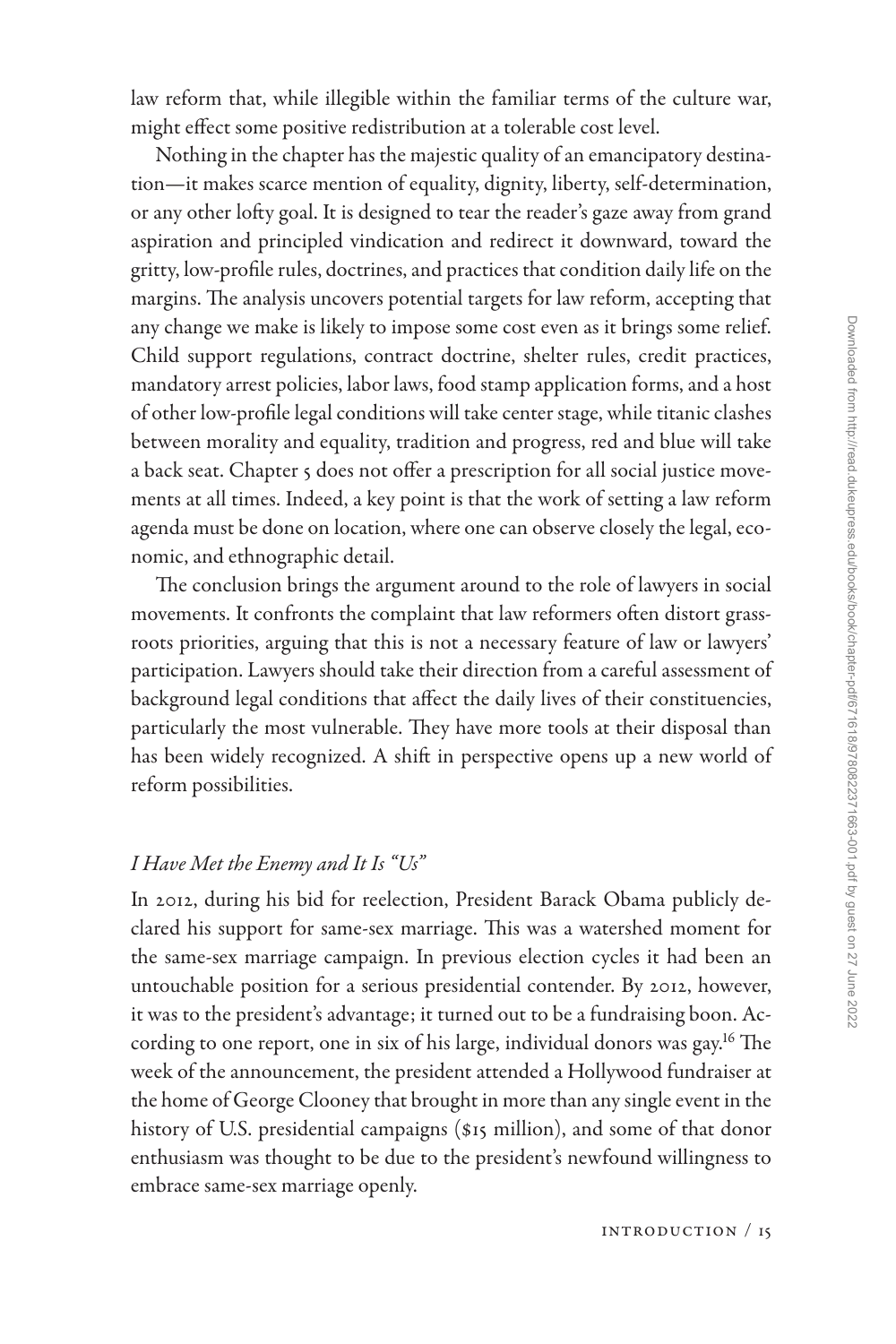law reform that, while illegible within the familiar terms of the culture war, might effect some positive redistribution at a tolerable cost level.

Nothing in the chapter has the majestic quality of an emancipatory destination—it makes scarce mention of equality, dignity, liberty, self-determination, or any other lofty goal. It is designed to tear the reader's gaze away from grand aspiration and principled vindication and redirect it downward, toward the gritty, low-profile rules, doctrines, and practices that condition daily life on the margins. The analysis uncovers potential targets for law reform, accepting that any change we make is likely to impose some cost even as it brings some relief. Child support regulations, contract doctrine, shelter rules, credit practices, mandatory arrest policies, labor laws, food stamp application forms, and a host of other low-profile legal conditions will take center stage, while titanic clashes between morality and equality, tradition and progress, red and blue will take a back seat. Chapter 5 does not offer a prescription for all social justice movements at all times. Indeed, a key point is that the work of setting a law reform agenda must be done on location, where one can observe closely the legal, economic, and ethnographic detail.

The conclusion brings the argument around to the role of lawyers in social movements. It confronts the complaint that law reformers often distort grassroots priorities, arguing that this is not a necessary feature of law or lawyers' participation. Lawyers should take their direction from a careful assessment of background legal conditions that affect the daily lives of their constituencies, particularly the most vulnerable. They have more tools at their disposal than has been widely recognized. A shift in perspective opens up a new world of reform possibilities.

#### *I Have Met the Enemy and It Is "Us"*

In 2012, during his bid for reelection, President Barack Obama publicly declared his support for same-sex marriage. This was a watershed moment for the same-sex marriage campaign. In previous election cycles it had been an untouchable position for a serious presidential contender. By 2012, however, it was to the president's advantage; it turned out to be a fundraising boon. According to one report, one in six of his large, individual donors was gay.<sup>16</sup> The week of the announcement, the president attended a Hollywood fundraiser at the home of George Clooney that brought in more than any single event in the history of U.S. presidential campaigns (\$15 million), and some of that donor enthusiasm was thought to be due to the president's newfound willingness to embrace same-sex marriage openly.